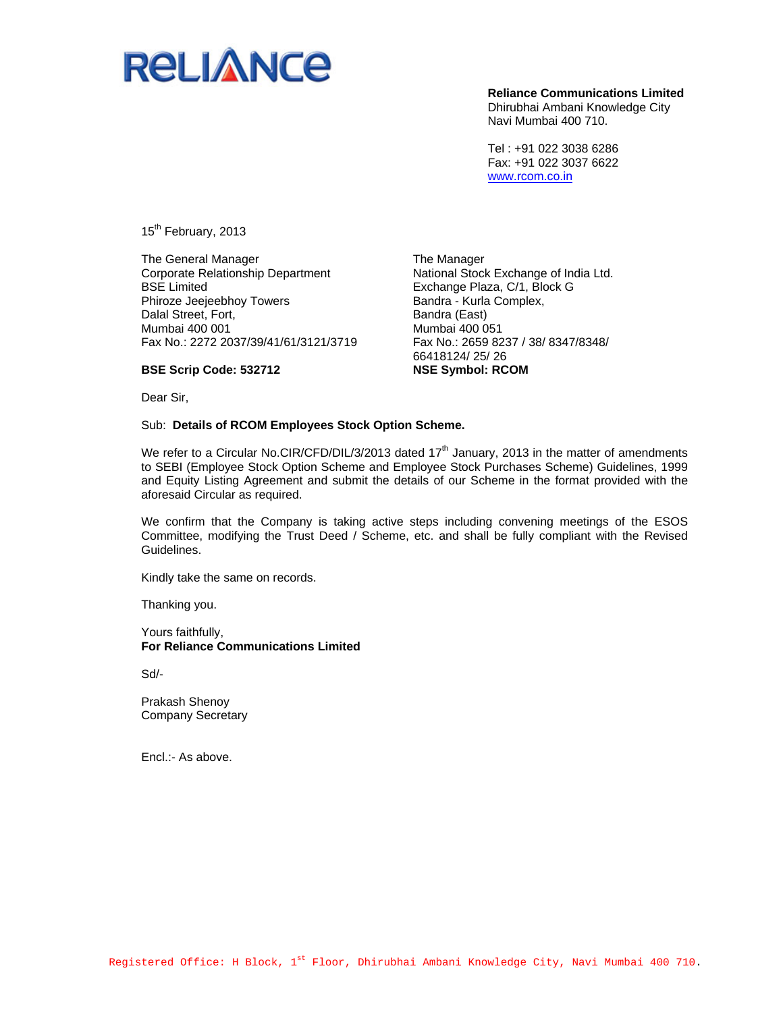

**Reliance Communications Limited**  Dhirubhai Ambani Knowledge City Navi Mumbai 400 710.

Tel : +91 022 3038 6286 Fax: +91 022 3037 6622 www.rcom.co.in

15<sup>th</sup> February, 2013

**BSE Scrip Code: 532712** 

The General Manager Corporate Relationship Department BSE Limited Phiroze Jeejeebhoy Towers Dalal Street, Fort, Mumbai 400 001 Fax No.: 2272 2037/39/41/61/3121/3719

The Manager National Stock Exchange of India Ltd. Exchange Plaza, C/1, Block G Bandra - Kurla Complex, Bandra (East) Mumbai 400 051 Fax No.: 2659 8237 / 38/ 8347/8348/ 66418124/ 25/ 26 **NSE Symbol: RCOM** 

Dear Sir,

Sub: **Details of RCOM Employees Stock Option Scheme.** 

We refer to a Circular No.CIR/CFD/DIL/3/2013 dated 17<sup>th</sup> January, 2013 in the matter of amendments to SEBI (Employee Stock Option Scheme and Employee Stock Purchases Scheme) Guidelines, 1999 and Equity Listing Agreement and submit the details of our Scheme in the format provided with the aforesaid Circular as required.

We confirm that the Company is taking active steps including convening meetings of the ESOS Committee, modifying the Trust Deed / Scheme, etc. and shall be fully compliant with the Revised Guidelines.

Kindly take the same on records.

Thanking you.

Yours faithfully, **For Reliance Communications Limited** 

Sd/-

Prakash Shenoy Company Secretary

Encl.:- As above.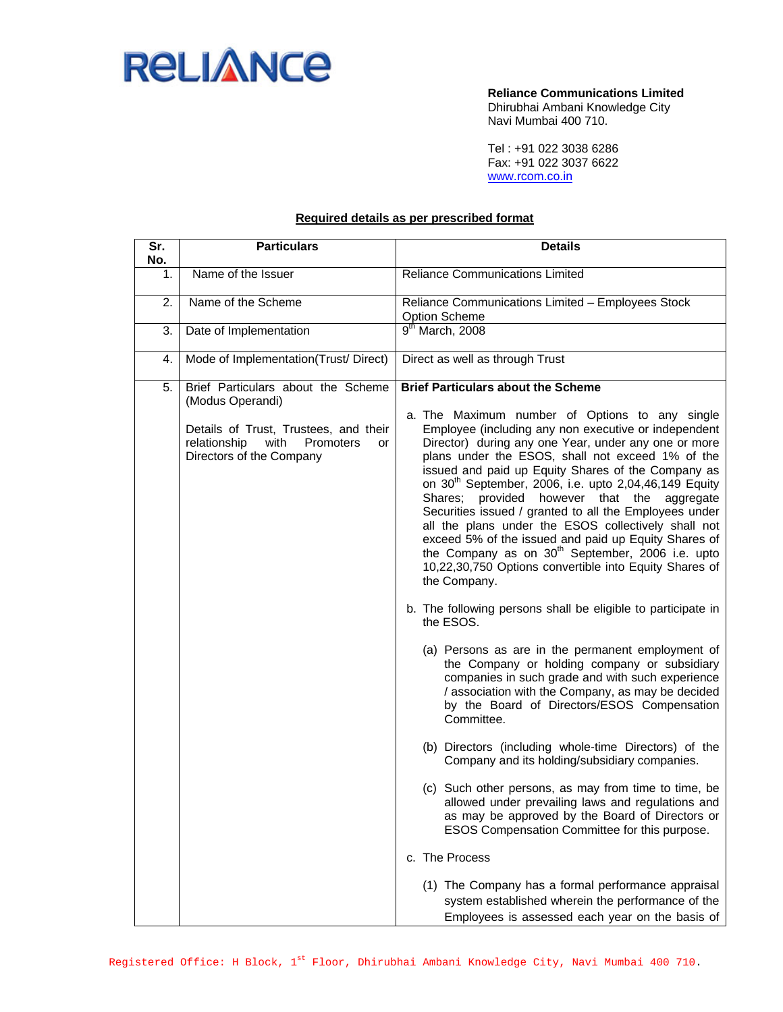

**Reliance Communications Limited**  Dhirubhai Ambani Knowledge City Navi Mumbai 400 710.

Tel : +91 022 3038 6286 Fax: +91 022 3037 6622 www.rcom.co.in

## **Required details as per prescribed format**

| Sr.<br>No. | <b>Particulars</b>                                                                                                                                                     | <b>Details</b>                                                                                                                                                                                                                                                                                                                                                                                                                                                                                                                                                                                                                                                                                                                                                                                                                                                                                                                                                                                                                                                                                                                                                                                                                                                                                                                                                                                                                                                                                                          |  |  |
|------------|------------------------------------------------------------------------------------------------------------------------------------------------------------------------|-------------------------------------------------------------------------------------------------------------------------------------------------------------------------------------------------------------------------------------------------------------------------------------------------------------------------------------------------------------------------------------------------------------------------------------------------------------------------------------------------------------------------------------------------------------------------------------------------------------------------------------------------------------------------------------------------------------------------------------------------------------------------------------------------------------------------------------------------------------------------------------------------------------------------------------------------------------------------------------------------------------------------------------------------------------------------------------------------------------------------------------------------------------------------------------------------------------------------------------------------------------------------------------------------------------------------------------------------------------------------------------------------------------------------------------------------------------------------------------------------------------------------|--|--|
| 1.         | Name of the Issuer                                                                                                                                                     | <b>Reliance Communications Limited</b>                                                                                                                                                                                                                                                                                                                                                                                                                                                                                                                                                                                                                                                                                                                                                                                                                                                                                                                                                                                                                                                                                                                                                                                                                                                                                                                                                                                                                                                                                  |  |  |
| 2.         | Name of the Scheme                                                                                                                                                     | Reliance Communications Limited - Employees Stock<br><b>Option Scheme</b>                                                                                                                                                                                                                                                                                                                                                                                                                                                                                                                                                                                                                                                                                                                                                                                                                                                                                                                                                                                                                                                                                                                                                                                                                                                                                                                                                                                                                                               |  |  |
| 3.         | Date of Implementation                                                                                                                                                 | $9th$ March, 2008                                                                                                                                                                                                                                                                                                                                                                                                                                                                                                                                                                                                                                                                                                                                                                                                                                                                                                                                                                                                                                                                                                                                                                                                                                                                                                                                                                                                                                                                                                       |  |  |
| 4.         | Mode of Implementation(Trust/Direct)                                                                                                                                   | Direct as well as through Trust                                                                                                                                                                                                                                                                                                                                                                                                                                                                                                                                                                                                                                                                                                                                                                                                                                                                                                                                                                                                                                                                                                                                                                                                                                                                                                                                                                                                                                                                                         |  |  |
| 5.         | Brief Particulars about the Scheme<br>(Modus Operandi)<br>Details of Trust, Trustees, and their<br>relationship<br>with<br>Promoters<br>or<br>Directors of the Company | <b>Brief Particulars about the Scheme</b><br>a. The Maximum number of Options to any single<br>Employee (including any non executive or independent<br>Director) during any one Year, under any one or more<br>plans under the ESOS, shall not exceed 1% of the<br>issued and paid up Equity Shares of the Company as<br>on 30 <sup>th</sup> September, 2006, i.e. upto 2,04,46,149 Equity<br>Shares; provided however that the aggregate<br>Securities issued / granted to all the Employees under<br>all the plans under the ESOS collectively shall not<br>exceed 5% of the issued and paid up Equity Shares of<br>the Company as on 30 <sup>th</sup> September, 2006 i.e. upto<br>10,22,30,750 Options convertible into Equity Shares of<br>the Company.<br>b. The following persons shall be eligible to participate in<br>the ESOS.<br>(a) Persons as are in the permanent employment of<br>the Company or holding company or subsidiary<br>companies in such grade and with such experience<br>/ association with the Company, as may be decided<br>by the Board of Directors/ESOS Compensation<br>Committee.<br>(b) Directors (including whole-time Directors) of the<br>Company and its holding/subsidiary companies.<br>(c) Such other persons, as may from time to time, be<br>allowed under prevailing laws and regulations and<br>as may be approved by the Board of Directors or<br>ESOS Compensation Committee for this purpose.<br>c. The Process<br>(1) The Company has a formal performance appraisal |  |  |
|            |                                                                                                                                                                        | system established wherein the performance of the<br>Employees is assessed each year on the basis of                                                                                                                                                                                                                                                                                                                                                                                                                                                                                                                                                                                                                                                                                                                                                                                                                                                                                                                                                                                                                                                                                                                                                                                                                                                                                                                                                                                                                    |  |  |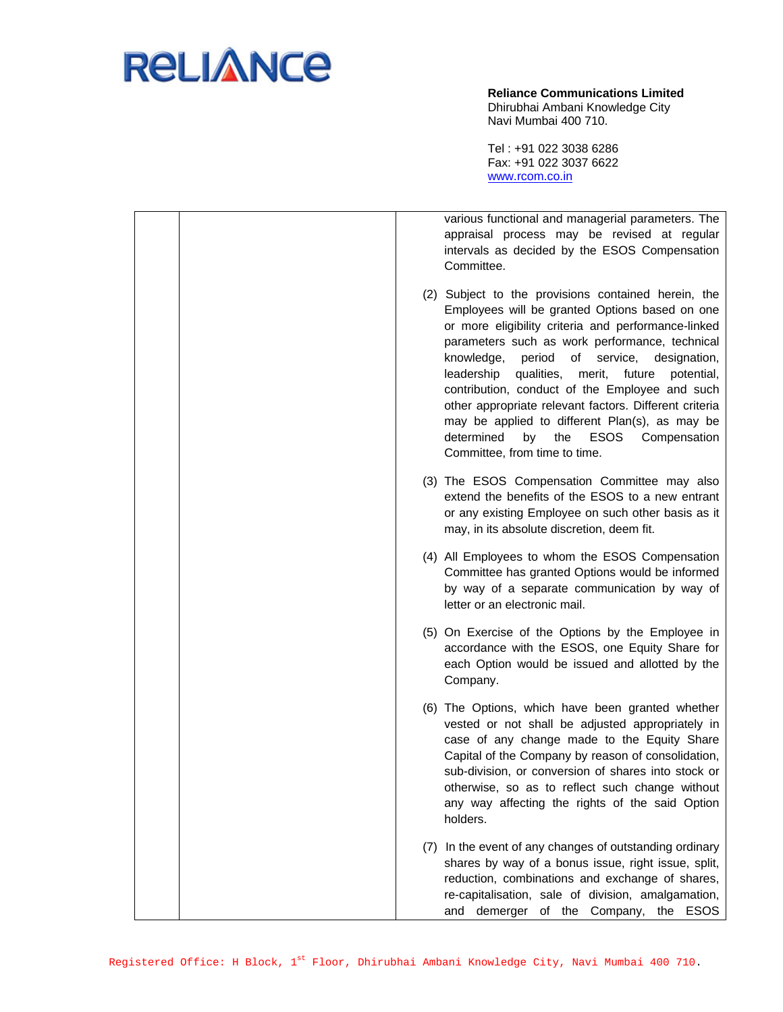

**Reliance Communications Limited**  Dhirubhai Ambani Knowledge City Navi Mumbai 400 710.

Tel : +91 022 3038 6286 Fax: +91 022 3037 6622 www.rcom.co.in

|  | various functional and managerial parameters. The<br>appraisal process may be revised at regular<br>intervals as decided by the ESOS Compensation<br>Committee.                                                                                                                                                                                                                                                                                                                                                                                                                              |
|--|----------------------------------------------------------------------------------------------------------------------------------------------------------------------------------------------------------------------------------------------------------------------------------------------------------------------------------------------------------------------------------------------------------------------------------------------------------------------------------------------------------------------------------------------------------------------------------------------|
|  | (2) Subject to the provisions contained herein, the<br>Employees will be granted Options based on one<br>or more eligibility criteria and performance-linked<br>parameters such as work performance, technical<br>period of<br>service,<br>knowledge,<br>designation,<br>qualities,<br>merit,<br>future<br>leadership<br>potential,<br>contribution, conduct of the Employee and such<br>other appropriate relevant factors. Different criteria<br>may be applied to different Plan(s), as may be<br>determined<br><b>ESOS</b><br>by<br>the<br>Compensation<br>Committee, from time to time. |
|  | (3) The ESOS Compensation Committee may also<br>extend the benefits of the ESOS to a new entrant<br>or any existing Employee on such other basis as it<br>may, in its absolute discretion, deem fit.                                                                                                                                                                                                                                                                                                                                                                                         |
|  | (4) All Employees to whom the ESOS Compensation<br>Committee has granted Options would be informed<br>by way of a separate communication by way of<br>letter or an electronic mail.                                                                                                                                                                                                                                                                                                                                                                                                          |
|  | (5) On Exercise of the Options by the Employee in<br>accordance with the ESOS, one Equity Share for<br>each Option would be issued and allotted by the<br>Company.                                                                                                                                                                                                                                                                                                                                                                                                                           |
|  | (6) The Options, which have been granted whether<br>vested or not shall be adjusted appropriately in<br>case of any change made to the Equity Share<br>Capital of the Company by reason of consolidation,<br>sub-division, or conversion of shares into stock or<br>otherwise, so as to reflect such change without<br>any way affecting the rights of the said Option<br>holders.                                                                                                                                                                                                           |
|  | (7) In the event of any changes of outstanding ordinary<br>shares by way of a bonus issue, right issue, split,<br>reduction, combinations and exchange of shares,<br>re-capitalisation, sale of division, amalgamation,<br>and demerger of the Company, the ESOS                                                                                                                                                                                                                                                                                                                             |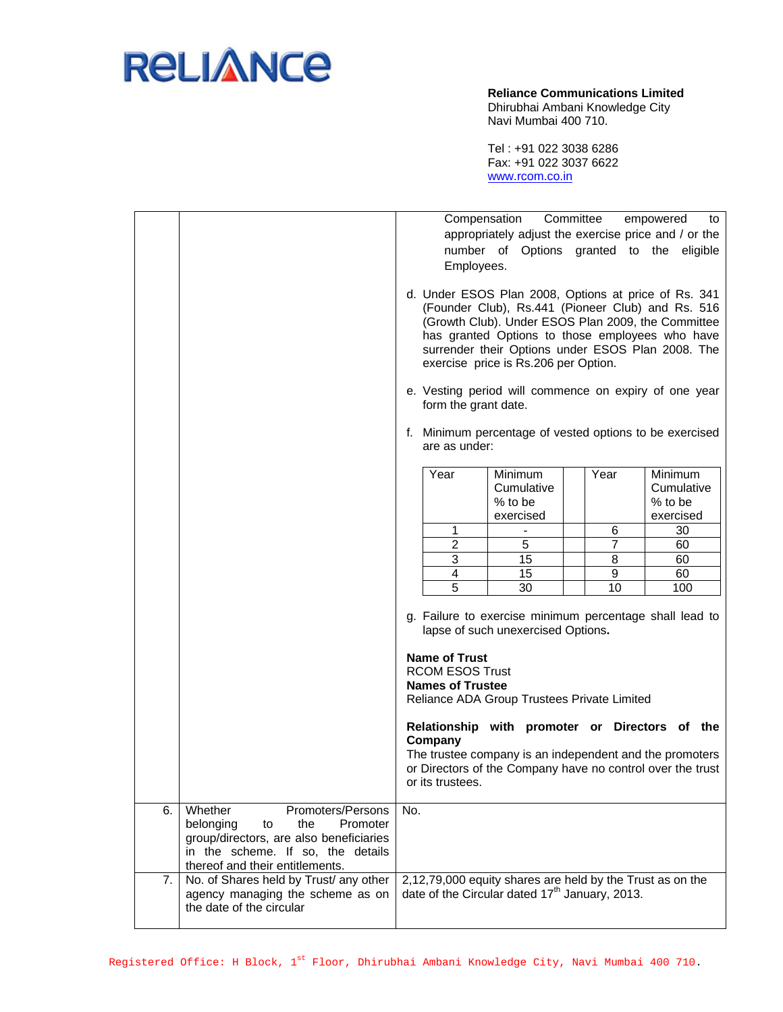

## **Reliance Communications Limited**

Dhirubhai Ambani Knowledge City Navi Mumbai 400 710.

Tel : +91 022 3038 6286 Fax: +91 022 3037 6622 www.rcom.co.in

|          |                                                                                                                                                                                                                                 | Compensation<br>Committee<br>empowered<br>to<br>appropriately adjust the exercise price and / or the<br>number of Options granted to the eligible<br>Employees.<br>d. Under ESOS Plan 2008, Options at price of Rs. 341<br>(Founder Club), Rs.441 (Pioneer Club) and Rs. 516<br>(Growth Club). Under ESOS Plan 2009, the Committee<br>has granted Options to those employees who have<br>surrender their Options under ESOS Plan 2008. The<br>exercise price is Rs.206 per Option.<br>e. Vesting period will commence on expiry of one year<br>form the grant date.<br>f. Minimum percentage of vested options to be exercised<br>are as under: |                                                                                          |                                |                                                                                     |
|----------|---------------------------------------------------------------------------------------------------------------------------------------------------------------------------------------------------------------------------------|-------------------------------------------------------------------------------------------------------------------------------------------------------------------------------------------------------------------------------------------------------------------------------------------------------------------------------------------------------------------------------------------------------------------------------------------------------------------------------------------------------------------------------------------------------------------------------------------------------------------------------------------------|------------------------------------------------------------------------------------------|--------------------------------|-------------------------------------------------------------------------------------|
|          |                                                                                                                                                                                                                                 | Year<br>1<br>$\overline{c}$<br>3<br>4<br>$\overline{5}$                                                                                                                                                                                                                                                                                                                                                                                                                                                                                                                                                                                         | <b>Minimum</b><br>Cumulative<br>% to be<br>exercised<br>$\overline{5}$<br>15<br>15<br>30 | Year<br>6<br>7<br>8<br>9<br>10 | <b>Minimum</b><br>Cumulative<br>% to be<br>exercised<br>30<br>60<br>60<br>60<br>100 |
|          |                                                                                                                                                                                                                                 | g. Failure to exercise minimum percentage shall lead to<br>lapse of such unexercised Options.<br><b>Name of Trust</b><br><b>RCOM ESOS Trust</b><br><b>Names of Trustee</b><br>Reliance ADA Group Trustees Private Limited<br>Relationship with promoter or Directors of the<br>Company<br>The trustee company is an independent and the promoters<br>or Directors of the Company have no control over the trust<br>or its trustees.                                                                                                                                                                                                             |                                                                                          |                                |                                                                                     |
| 6.<br>7. | Whether<br>Promoters/Persons<br>belonging<br>the<br>Promoter<br>to<br>group/directors, are also beneficiaries<br>in the scheme. If so, the details<br>thereof and their entitlements.<br>No. of Shares held by Trust/ any other | No.<br>2,12,79,000 equity shares are held by the Trust as on the                                                                                                                                                                                                                                                                                                                                                                                                                                                                                                                                                                                |                                                                                          |                                |                                                                                     |
|          | agency managing the scheme as on<br>the date of the circular                                                                                                                                                                    | date of the Circular dated 17 <sup>th</sup> January, 2013.                                                                                                                                                                                                                                                                                                                                                                                                                                                                                                                                                                                      |                                                                                          |                                |                                                                                     |